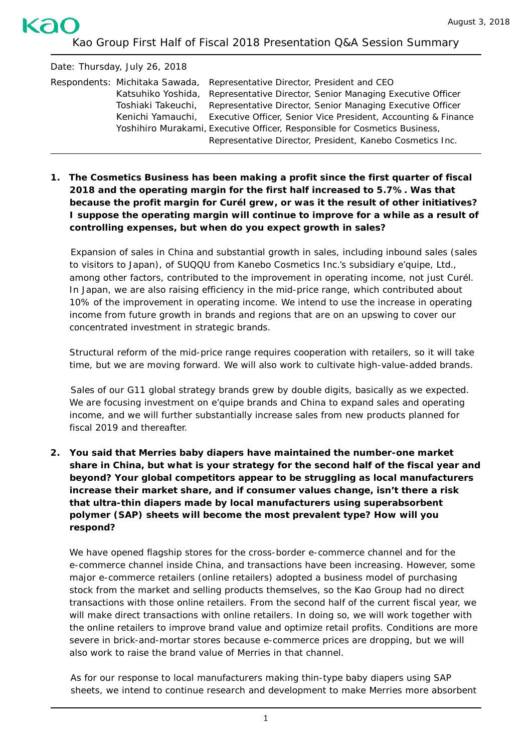Kao Group First Half of Fiscal 2018 Presentation Q&A Session Summary

kac

Date: Thursday, July 26, 2018 Respondents: Michitaka Sawada, Representative Director, President and CEO Katsuhiko Yoshida, Representative Director, Senior Managing Executive Officer Toshiaki Takeuchi, Representative Director, Senior Managing Executive Officer Kenichi Yamauchi, Executive Officer, Senior Vice President, Accounting & Finance Yoshihiro Murakami, Executive Officer, Responsible for Cosmetics Business, Representative Director, President, Kanebo Cosmetics Inc.

**1. The Cosmetics Business has been making a profit since the first quarter of fiscal 2018 and the operating margin for the first half increased to 5.7%. Was that because the profit margin for** *Curél* **grew, or was it the result of other initiatives? I suppose the operating margin will continue to improve for a while as a result of controlling expenses, but when do you expect growth in sales?**

Expansion of sales in China and substantial growth in sales, including inbound sales (sales to visitors to Japan), of *SUQQU* from Kanebo Cosmetics Inc.'s subsidiary e'quipe, Ltd., among other factors, contributed to the improvement in operating income, not just *Curél.* In Japan, we are also raising efficiency in the mid-price range, which contributed about 10% of the improvement in operating income. We intend to use the increase in operating income from future growth in brands and regions that are on an upswing to cover our concentrated investment in strategic brands.

Structural reform of the mid-price range requires cooperation with retailers, so it will take time, but we are moving forward. We will also work to cultivate high-value-added brands.

Sales of our G11 global strategy brands grew by double digits, basically as we expected. We are focusing investment on e'quipe brands and China to expand sales and operating income, and we will further substantially increase sales from new products planned for fiscal 2019 and thereafter.

**2. You said that** *Merries* **baby diapers have maintained the number-one market share in China, but what is your strategy for the second half of the fiscal year and beyond? Your global competitors appear to be struggling as local manufacturers increase their market share, and if consumer values change, isn't there a risk that ultra-thin diapers made by local manufacturers using superabsorbent polymer (SAP) sheets will become the most prevalent type? How will you respond?**

We have opened flagship stores for the cross-border e-commerce channel and for the e-commerce channel inside China, and transactions have been increasing. However, some major e-commerce retailers (online retailers) adopted a business model of purchasing stock from the market and selling products themselves, so the Kao Group had no direct transactions with those online retailers. From the second half of the current fiscal year, we will make direct transactions with online retailers. In doing so, we will work together with the online retailers to improve brand value and optimize retail profits. Conditions are more severe in brick-and-mortar stores because e-commerce prices are dropping, but we will also work to raise the brand value of *Merries* in that channel.

As for our response to local manufacturers making thin-type baby diapers using SAP sheets, we intend to continue research and development to make *Merries* more absorbent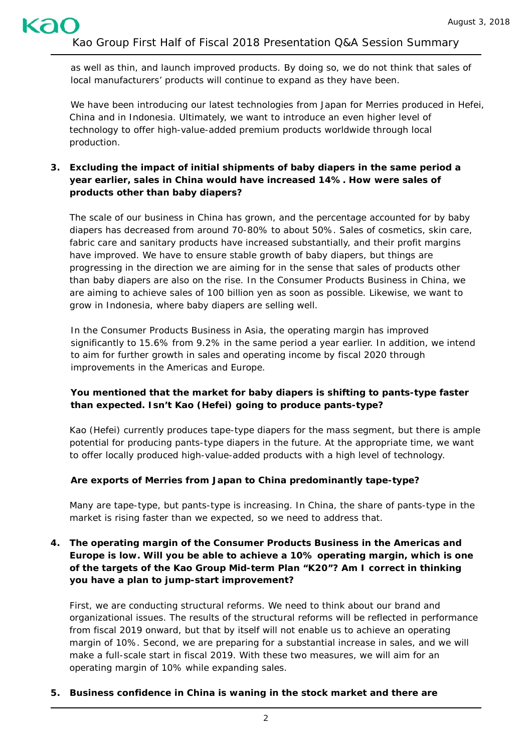as well as thin, and launch improved products. By doing so, we do not think that sales of local manufacturers' products will continue to expand as they have been.

We have been introducing our latest technologies from Japan for *Merries* produced in Hefei, China and in Indonesia. Ultimately, we want to introduce an even higher level of technology to offer high-value-added premium products worldwide through local production.

# **3. Excluding the impact of initial shipments of baby diapers in the same period a year earlier, sales in China would have increased 14%. How were sales of products other than baby diapers?**

The scale of our business in China has grown, and the percentage accounted for by baby diapers has decreased from around 70-80% to about 50%. Sales of cosmetics, skin care, fabric care and sanitary products have increased substantially, and their profit margins have improved. We have to ensure stable growth of baby diapers, but things are progressing in the direction we are aiming for in the sense that sales of products other than baby diapers are also on the rise. In the Consumer Products Business in China, we are aiming to achieve sales of 100 billion yen as soon as possible. Likewise, we want to grow in Indonesia, where baby diapers are selling well.

In the Consumer Products Business in Asia, the operating margin has improved significantly to 15.6% from 9.2% in the same period a year earlier. In addition, we intend to aim for further growth in sales and operating income by fiscal 2020 through improvements in the Americas and Europe.

# **You mentioned that the market for baby diapers is shifting to pants-type faster than expected. Isn't Kao (Hefei) going to produce pants-type?**

Kao (Hefei) currently produces tape-type diapers for the mass segment, but there is ample potential for producing pants-type diapers in the future. At the appropriate time, we want to offer locally produced high-value-added products with a high level of technology.

# **Are exports of** *Merries* **from Japan to China predominantly tape-type?**

Many are tape-type, but pants-type is increasing. In China, the share of pants-type in the market is rising faster than we expected, so we need to address that.

# **4. The operating margin of the Consumer Products Business in the Americas and Europe is low. Will you be able to achieve a 10% operating margin, which is one of the targets of the Kao Group Mid-term Plan "K20"? Am I correct in thinking you have a plan to jump-start improvement?**

First, we are conducting structural reforms. We need to think about our brand and organizational issues. The results of the structural reforms will be reflected in performance from fiscal 2019 onward, but that by itself will not enable us to achieve an operating margin of 10%. Second, we are preparing for a substantial increase in sales, and we will make a full-scale start in fiscal 2019. With these two measures, we will aim for an operating margin of 10% while expanding sales.

#### **5. Business confidence in China is waning in the stock market and there are**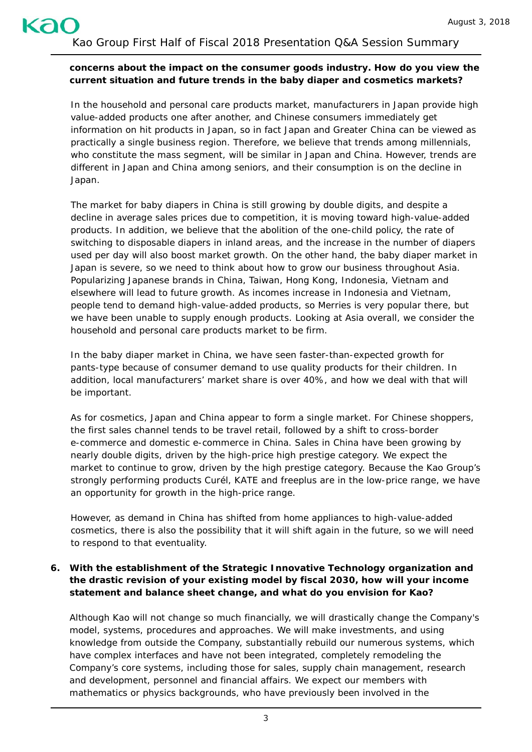#### **concerns about the impact on the consumer goods industry. How do you view the current situation and future trends in the baby diaper and cosmetics markets?**

In the household and personal care products market, manufacturers in Japan provide high value-added products one after another, and Chinese consumers immediately get information on hit products in Japan, so in fact Japan and Greater China can be viewed as practically a single business region. Therefore, we believe that trends among millennials, who constitute the mass segment, will be similar in Japan and China. However, trends are different in Japan and China among seniors, and their consumption is on the decline in Japan.

The market for baby diapers in China is still growing by double digits, and despite a decline in average sales prices due to competition, it is moving toward high-value-added products. In addition, we believe that the abolition of the one-child policy, the rate of switching to disposable diapers in inland areas, and the increase in the number of diapers used per day will also boost market growth. On the other hand, the baby diaper market in Japan is severe, so we need to think about how to grow our business throughout Asia. Popularizing Japanese brands in China, Taiwan, Hong Kong, Indonesia, Vietnam and elsewhere will lead to future growth. As incomes increase in Indonesia and Vietnam, people tend to demand high-value-added products, so *Merries* is very popular there, but we have been unable to supply enough products. Looking at Asia overall, we consider the household and personal care products market to be firm.

In the baby diaper market in China, we have seen faster-than-expected growth for pants-type because of consumer demand to use quality products for their children. In addition, local manufacturers' market share is over 40%, and how we deal with that will be important.

As for cosmetics, Japan and China appear to form a single market. For Chinese shoppers, the first sales channel tends to be travel retail, followed by a shift to cross-border e-commerce and domestic e-commerce in China. Sales in China have been growing by nearly double digits, driven by the high-price high prestige category. We expect the market to continue to grow, driven by the high prestige category. Because the Kao Group's strongly performing products *Curél*, *KATE* and *freeplus* are in the low-price range, we have an opportunity for growth in the high-price range.

However, as demand in China has shifted from home appliances to high-value-added cosmetics, there is also the possibility that it will shift again in the future, so we will need to respond to that eventuality.

# **6. With the establishment of the Strategic Innovative Technology organization and the drastic revision of your existing model by fiscal 2030, how will your income statement and balance sheet change, and what do you envision for Kao?**

Although Kao will not change so much financially, we will drastically change the Company's model, systems, procedures and approaches. We will make investments, and using knowledge from outside the Company, substantially rebuild our numerous systems, which have complex interfaces and have not been integrated, completely remodeling the Company's core systems, including those for sales, supply chain management, research and development, personnel and financial affairs. We expect our members with mathematics or physics backgrounds, who have previously been involved in the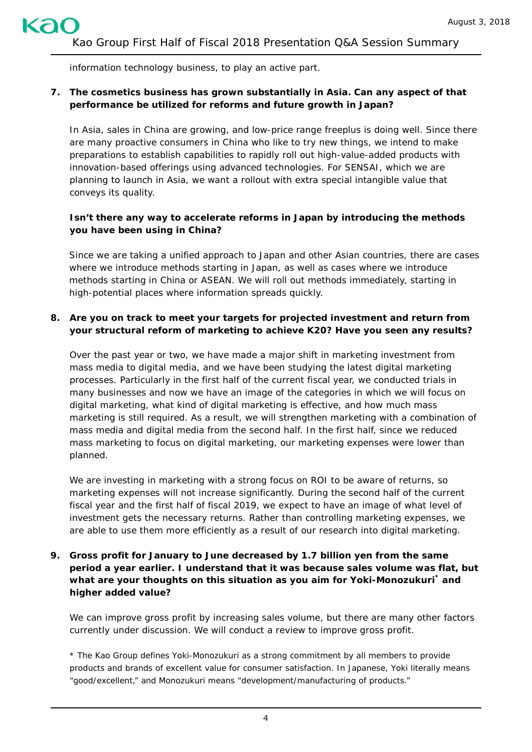information technology business, to play an active part.

### **7. The cosmetics business has grown substantially in Asia. Can any aspect of that performance be utilized for reforms and future growth in Japan?**

In Asia, sales in China are growing, and low-price range *freeplus* is doing well. Since there are many proactive consumers in China who like to try new things, we intend to make preparations to establish capabilities to rapidly roll out high-value-added products with innovation-based offerings using advanced technologies. For *SENSAI*, which we are planning to launch in Asia, we want a rollout with extra special intangible value that conveys its quality.

# **Isn't there any way to accelerate reforms in Japan by introducing the methods you have been using in China?**

Since we are taking a unified approach to Japan and other Asian countries, there are cases where we introduce methods starting in Japan, as well as cases where we introduce methods starting in China or ASEAN. We will roll out methods immediately, starting in high-potential places where information spreads quickly.

### **8. Are you on track to meet your targets for projected investment and return from your structural reform of marketing to achieve K20? Have you seen any results?**

Over the past year or two, we have made a major shift in marketing investment from mass media to digital media, and we have been studying the latest digital marketing processes. Particularly in the first half of the current fiscal year, we conducted trials in many businesses and now we have an image of the categories in which we will focus on digital marketing, what kind of digital marketing is effective, and how much mass marketing is still required. As a result, we will strengthen marketing with a combination of mass media and digital media from the second half. In the first half, since we reduced mass marketing to focus on digital marketing, our marketing expenses were lower than planned.

We are investing in marketing with a strong focus on ROI to be aware of returns, so marketing expenses will not increase significantly. During the second half of the current fiscal year and the first half of fiscal 2019, we expect to have an image of what level of investment gets the necessary returns. Rather than controlling marketing expenses, we are able to use them more efficiently as a result of our research into digital marketing.

# **9. Gross profit for January to June decreased by 1.7 billion yen from the same period a year earlier. I understand that it was because sales volume was flat, but what are your thoughts on this situation as you aim for** *Yoki-Monozukuri\** **and higher added value?**

We can improve gross profit by increasing sales volume, but there are many other factors currently under discussion. We will conduct a review to improve gross profit.

\* The Kao Group defines *Yoki-Monozukuri* as a strong commitment by all members to provide products and brands of excellent value for consumer satisfaction. In Japanese, *Yoki* literally means "good/excellent," and *Monozukuri* means "development/manufacturing of products."